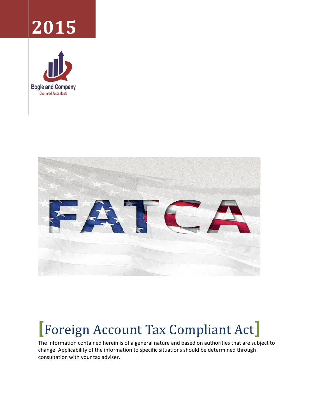# **2015**





# **[**Foreign Account Tax Compliant Act**]**

The information contained herein is of a general nature and based on authorities that are subject to change. Applicability of the information to specific situations should be determined through consultation with your tax adviser.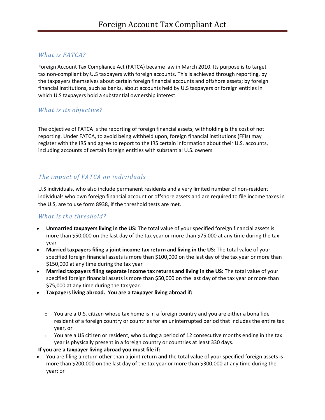#### *What is FATCA?*

Foreign Account Tax Compliance Act (FATCA) became law in March 2010. Its purpose is to target tax non-compliant by U.S taxpayers with foreign accounts. This is achieved through reporting, by the taxpayers themselves about certain foreign financial accounts and offshore assets; by foreign financial institutions, such as banks, about accounts held by U.S taxpayers or foreign entities in which U.S taxpayers hold a substantial ownership interest.

#### *What is its objective?*

The objective of FATCA is the reporting of foreign financial assets; withholding is the cost of not reporting. Under FATCA, to avoid being withheld upon, foreign financial institutions (FFIs) may register with the IRS and agree to report to the IRS certain information about their U.S. accounts, including accounts of certain foreign entities with substantial U.S. owners

## *The impact of FATCA on individuals*

U.S individuals, who also include permanent residents and a very limited number of non-resident individuals who own foreign financial account or offshore assets and are required to file income taxes in the U.S, are to use form 8938, if the threshold tests are met.

### *What is the threshold?*

- **Unmarried taxpayers living in the US:** The total value of your specified foreign financial assets is more than \$50,000 on the last day of the tax year or more than \$75,000 at any time during the tax year
- **Married taxpayers filing a joint income tax return and living in the US:** The total value of your specified foreign financial assets is more than \$100,000 on the last day of the tax year or more than \$150,000 at any time during the tax year
- **Married taxpayers filing separate income tax returns and living in the US:** The total value of your specified foreign financial assets is more than \$50,000 on the last day of the tax year or more than \$75,000 at any time during the tax year.
- **Taxpayers living abroad. You are a taxpayer living abroad if:**
	- $\circ$  You are a U.S. citizen whose tax home is in a foreign country and you are either a bona fide resident of a foreign country or countries for an uninterrupted period that includes the entire tax year, or
	- $\circ$  You are a US citizen or resident, who during a period of 12 consecutive months ending in the tax year is physically present in a foreign country or countries at least 330 days.

#### **If you are a taxpayer living abroad you must file if:**

 You are filing a return other than a joint return **and** the total value of your specified foreign assets is more than \$200,000 on the last day of the tax year or more than \$300,000 at any time during the year; or